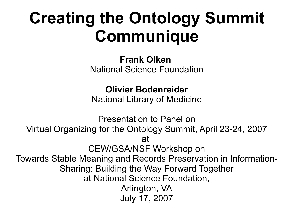#### **Creating the Ontology Summit Communique**

**Frank Olken** National Science Foundation

**Olivier Bodenreider**

National Library of Medicine

Presentation to Panel on Virtual Organizing for the Ontology Summit, April 23-24, 2007 at CEW/GSA/NSF Workshop on Towards Stable Meaning and Records Preservation in Information-Sharing: Building the Way Forward Together at National Science Foundation, Arlington, VA July 17, 2007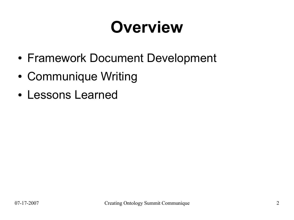### **Overview**

- Framework Document Development
- Communique Writing
- Lessons Learned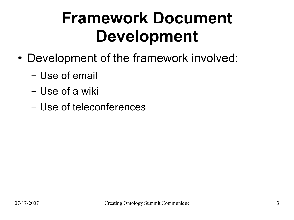#### **Framework Document Development**

- Development of the framework involved:
	- Use of email
	- Use of a wiki
	- Use of teleconferences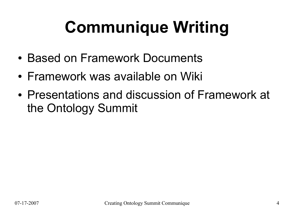# **Communique Writing**

- Based on Framework Documents
- Framework was available on Wiki
- Presentations and discussion of Framework at the Ontology Summit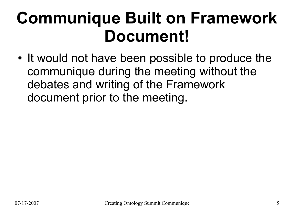#### **Communique Built on Framework Document!**

• It would not have been possible to produce the communique during the meeting without the debates and writing of the Framework document prior to the meeting.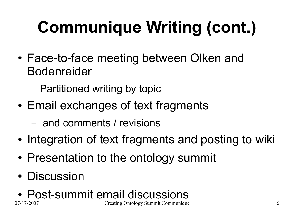# **Communique Writing (cont.)**

- Face-to-face meeting between Olken and Bodenreider
	- Partitioned writing by topic
- Email exchanges of text fragments
	- and comments / revisions
- Integration of text fragments and posting to wiki
- Presentation to the ontology summit
- Discussion
- 07-17-2007 Creating Ontology Summit Communique 6 • Post-summit email discussions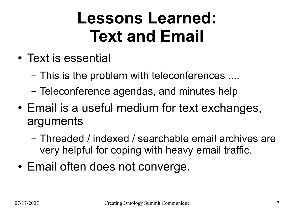#### **Lessons Learned: Text and Email**

- Text is essential
	- This is the problem with teleconferences ....
	- Teleconference agendas, and minutes help
- Email is a useful medium for text exchanges, arguments
	- Threaded / indexed / searchable email archives are very helpful for coping with heavy email traffic.
- Email often does not converge.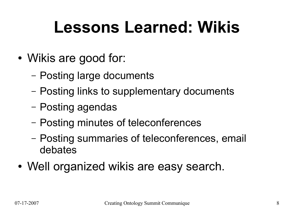#### **Lessons Learned: Wikis**

- Wikis are good for:
	- Posting large documents
	- Posting links to supplementary documents
	- Posting agendas
	- Posting minutes of teleconferences
	- Posting summaries of teleconferences, email debates
- Well organized wikis are easy search.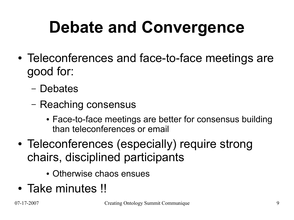# **Debate and Convergence**

- Teleconferences and face-to-face meetings are good for:
	- Debates
	- Reaching consensus
		- Face-to-face meetings are better for consensus building than teleconferences or email
- Teleconferences (especially) require strong chairs, disciplined participants
	- Otherwise chaos ensues
- Take minutes !!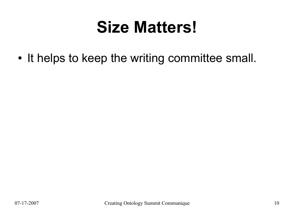#### **Size Matters!**

• It helps to keep the writing committee small.